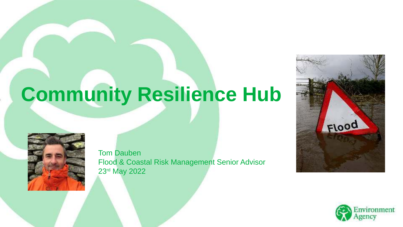# **Community Resilience Hub**



Tom Dauben Flood & Coastal Risk Management Senior Advisor 23rd May 2022



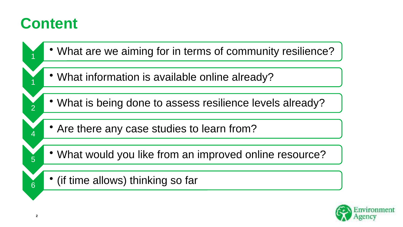#### **Content**



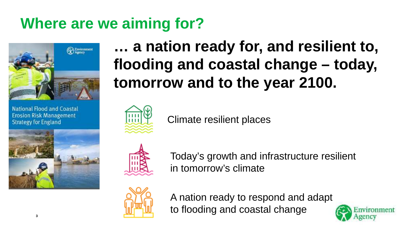## **Where are we aiming for?**



National Flood and Coastal **Erosion Risk Management Strategy for England** 



**… a nation ready for, and resilient to, flooding and coastal change – today, tomorrow and to the year 2100.**



Climate resilient places



Today's growth and infrastructure resilient in tomorrow's climate



A nation ready to respond and adapt to flooding and coastal change

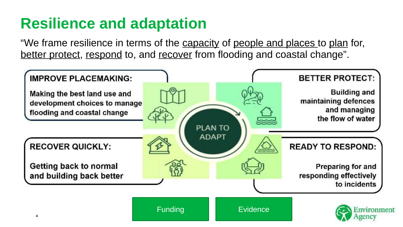### **Resilience and adaptation**

"We frame resilience in terms of the capacity of people and places to plan for, better protect, respond to, and recover from flooding and coastal change".

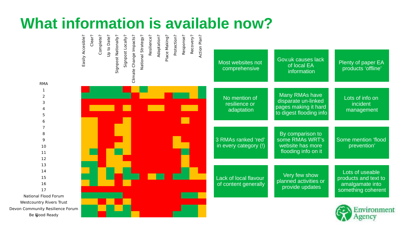#### **What information is available now?**

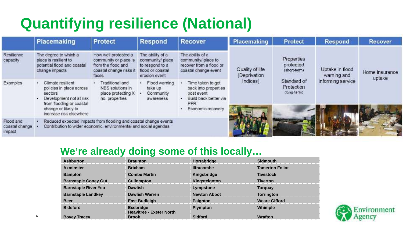#### **Quantifying resilience (National)**

|                                              | <b>Placemaking</b>                                                                                                                                                | <b>Protect</b>                                                                                          | <b>Respond</b>                                                                               | <b>Recover</b>                                                                                               | Placemaking                                 | Protect                                                                             | <b>Respond</b>                                      | <b>Recover</b>           |
|----------------------------------------------|-------------------------------------------------------------------------------------------------------------------------------------------------------------------|---------------------------------------------------------------------------------------------------------|----------------------------------------------------------------------------------------------|--------------------------------------------------------------------------------------------------------------|---------------------------------------------|-------------------------------------------------------------------------------------|-----------------------------------------------------|--------------------------|
| Resilience<br>capacity                       | The degree to which a<br>place is resilient to<br>potential flood and coastal<br>change impacts                                                                   | How well protected a<br>community or place is<br>from the flood and<br>coastal change risks it<br>faces | The ability of a<br>community/ place<br>to respond to a<br>flood or coastal<br>erosion event | The ability of a<br>community/ place to<br>recover from a flood or<br>coastal change event                   | Quality of life<br>(Deprivation<br>Indices) | Properties<br>protected<br>(short-term)<br>Standard of<br>Protection<br>(long-term) | Uptake in flood<br>warning and<br>informing service | Home insurance<br>uptake |
| Examples                                     | Climate resilient<br>policies in place across<br>sectors<br>Development not at risk<br>from flooding or coastal<br>change or likely to<br>increase risk elsewhere | Traditional and<br>NBS solutions in<br>place protecting X<br>no. properties                             | Flood warning<br>take up<br>Community<br>awareness                                           | Time taken to get<br>back into properties<br>post event<br>Build back better via<br>PFR<br>Economic recovery |                                             |                                                                                     |                                                     |                          |
| Flood and<br>coastal change<br><i>impact</i> | Reduced expected impacts from flooding and coastal change events<br>Contribution to wider economic, environmental and social agendas                              |                                                                                                         |                                                                                              |                                                                                                              |                                             |                                                                                     |                                                     |                          |

#### **We're already doing some of this locally…**

| <b>Ashburton</b>            | <b>Braunton</b>                                 | Horrabridge         | Sidmouth               |
|-----------------------------|-------------------------------------------------|---------------------|------------------------|
| <b>Axminster</b>            | <b>Brixham</b>                                  | <b>Ilfracombe</b>   | <b>Tamerton Foliot</b> |
| <b>Bampton</b>              | <b>Combe Martin</b>                             | Kingsbridge         | <b>Tavistock</b>       |
| <b>Barnstaple Coney Gut</b> | <b>Cullompton</b>                               | Kingsteignton       | <b>Tiverton</b>        |
| <b>Barnstaple River Yeo</b> | <b>Dawlish</b>                                  | Lympstone           | <b>Torguay</b>         |
| <b>Barnstaple Landkey</b>   | <b>Dawlish Warren</b>                           | <b>Newton Abbot</b> | <b>Torrington</b>      |
| <b>Beer</b>                 | <b>East Budleigh</b>                            | Paignton            | <b>Weare Gifford</b>   |
| <b>Bideford</b>             | <b>Exebridge</b>                                | <b>Plympton</b>     | Whimple                |
| <b>Bovey Tracey</b>         | <b>Heavitree - Exeter North</b><br><b>Brook</b> | <b>Sidford</b>      | <b>Wrafton</b>         |

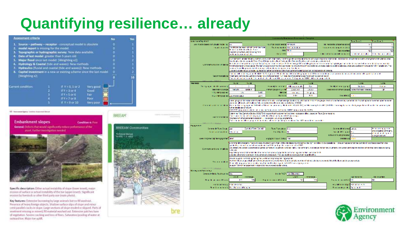#### **Quantifying resilience… already**



Key features: Extensive burnwing by large arrimals but no fill washout. Presence of heavy foreign objects. Shallow surface slips of slope and minorcrest parallel cracks in slope. Large sections of slope eroded or slipped. Parts of severnent missing or reoved, fill material washed out. Extensive patches base of vegetation. Severe cracking and loss of fines. Saturation/pooling of water at<br>outward toe. Major toe uplit:

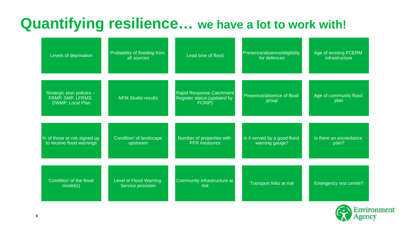## **Quantifying resilience… we have a lot to work with!**

| Levels of deprivation                                              | Probability of flooding from<br>all sources | Lead time of flood                                                | Presence/absence/eligibility<br>for defences   | Age of existing FCERM<br>infrastructure |
|--------------------------------------------------------------------|---------------------------------------------|-------------------------------------------------------------------|------------------------------------------------|-----------------------------------------|
| Strategic plan policies -<br>FRMP, SMP, LFRMS,<br>DWMP, Local Plan | <b>NFM Studio results</b>                   | Rapid Response Catchment<br>Register status (updated by<br>FCRIP) | Presence/absence of flood<br>group             | Age of community flood<br>plan          |
| % of those at risk signed up<br>to receive flood warnings          | 'Condition' of landscape<br>upstream        | Number of properties with<br><b>PFR</b> measures                  | Is it served by a good flood<br>warning gauge? | Is there an exceedance<br>plan?         |
| 'Condition' of the flood<br>model(s)                               | Level of Flood Warning<br>Service provision | Community infrastructure at<br>risk                               | Transport links at risk                        | Emergency rest centre?                  |

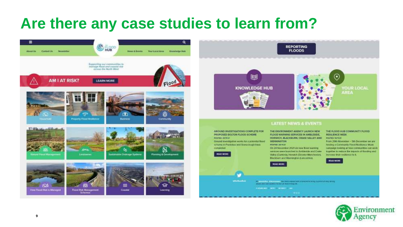#### **Are there any case studies to learn from?**





#### **LATEST NEWS & EVENTS**

**GROUND INVESTIGATIONS COMPLETE FOR PROPOSED SOLTON FLOOD SCHEME POSTED: 25/W/21** 

Ground Investigation works for a potential Booth scheme in Prestolen and Stonectough have completed

**Witness** 



THE ENVIRONMENT AGENCY LAUNCH NEW FLOOD WARNING SERVICES IN AMBLESDE. HORWICH, BLACKBURN, CRAKE VALLEY AND WENNINGTON

FORTUN 28/15/21 On 24 November 2021 six eaw flood warning services were launched in Artistestie and Craw-Valley (Cumbrid), Horwich (Greater Manchester), Blackborn and Wennington (Lancashing).

art the country for military this laws consider a templating opposite them to say

HEAD HOME

AREA (ART) DATA MARKET WITH LOCKEY FOR HIS 1897.

**FOOTBALL SALES START LIKE** 

THE FLOOD HUB COMMUNITY FLOOD *HESILIENCE WEEK* **POSTED: NATION** From 29th November - Sth December we are

hosing a Community Flood Resisence Week sampaign looking at few communities can work. Sopether to reduce the requests of flooding and increase their residence to full



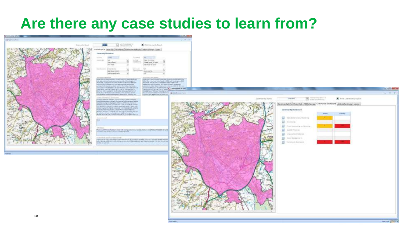#### **Are there any case studies to learn from?**

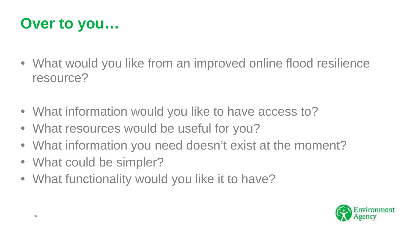#### **Over to you…**

- What would you like from an improved online flood resilience resource?
- What information would you like to have access to?
- What resources would be useful for you?
- What information you need doesn't exist at the moment?
- What could be simpler?
- What functionality would you like it to have?

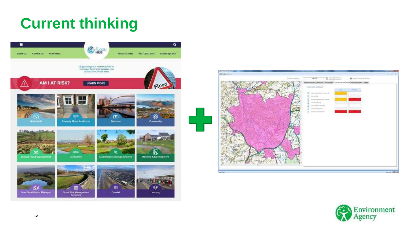#### **Current thinking**





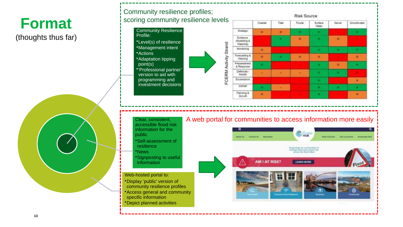